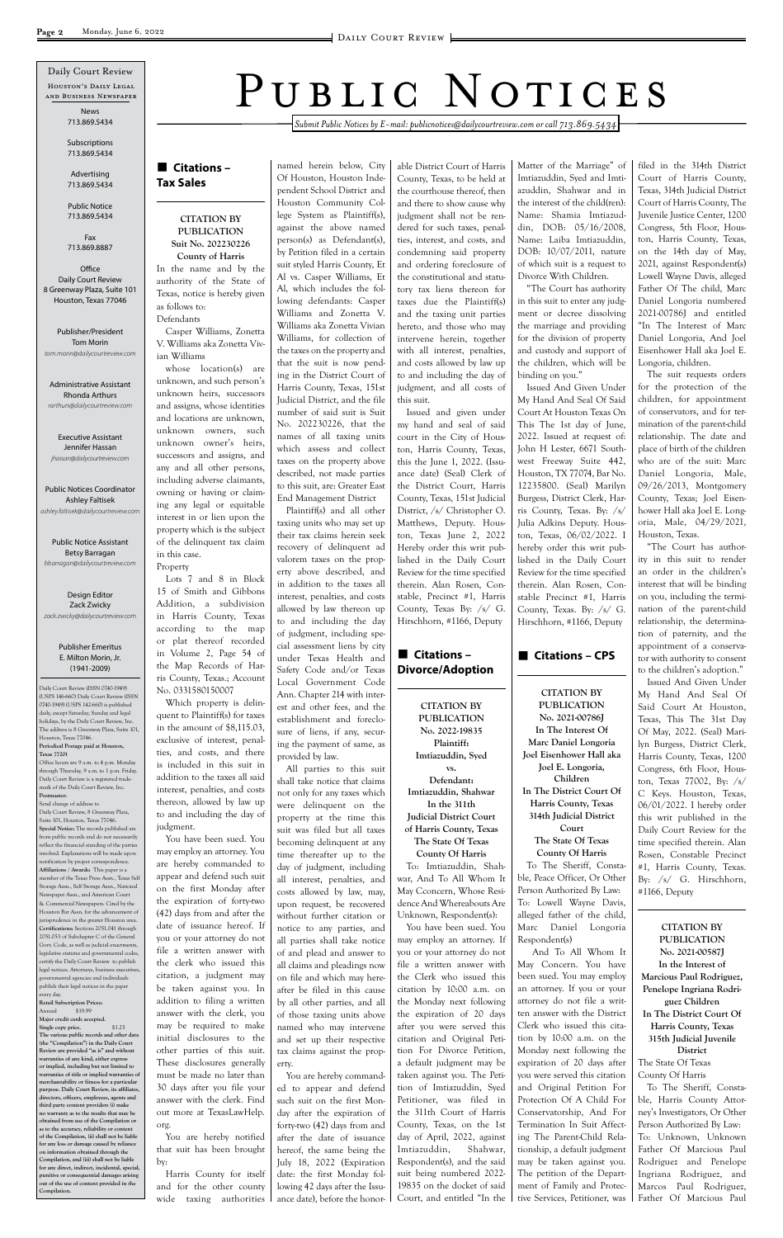#### ■ Citations – **Tax Sales**

*Submit Public Notices by E-mail: publicnotices@dailycourtreview.com or call 713.869.5434*

#### **CITATION BY PUBLICATION Suit No. 202230226**

**County of Harris** In the name and by the authority of the State of Texas, notice is hereby given as follows to: Defendants

Casper Williams, Zonetta V. Williams aka Zonetta Vivian Williams

whose location(s) are unknown, and such person's unknown heirs, successors and assigns, whose identities and locations are unknown, unknown owners, such unknown owner's heirs, successors and assigns, and any and all other persons, including adverse claimants, owning or having or claiming any legal or equitable interest in or lien upon the property which is the subject of the delinquent tax claim in this case. Property

Lots 7 and 8 in Block 15 of Smith and Gibbons Addition, a subdivision in Harris County, Texas according to the map or plat thereof recorded in Volume 2, Page 54 of the Map Records of Harris County, Texas.; Account No. 0331580150007

Which property is delinquent to Plaintiff(s) for taxes in the amount of \$8,115.03, exclusive of interest, penalties, and costs, and there is included in this suit in addition to the taxes all said interest, penalties, and costs thereon, allowed by law up to and including the day of judgment.

You have been sued. You may employ an attorney. You are hereby commanded to appear and defend such suit on the first Monday after the expiration of forty-two

(42) days from and after the date of issuance hereof. If you or your attorney do not file a written answer with the clerk who issued this citation, a judgment may be taken against you. In addition to filing a written answer with the clerk, you may be required to make initial disclosures to the other parties of this suit. These disclosures generally must be made no later than 30 days after you file your answer with the clerk. Find out more at TexasLawHelp. org.

You are hereby notified that suit has been brought by:

Harris County for itself and for the other county wide taxing authorities named herein below, City Of Houston, Houston Independent School District and Houston Community College System as Plaintiff(s), against the above named person(s) as Defendant(s), by Petition filed in a certain suit styled Harris County, Et Al vs. Casper Williams, Et Al, which includes the following defendants: Casper Williams and Zonetta V. Williams aka Zonetta Vivian Williams, for collection of the taxes on the property and that the suit is now pending in the District Court of Harris County, Texas, 151st Judicial District, and the file number of said suit is Suit No. 202230226, that the names of all taxing units which assess and collect taxes on the property above described, not made parties to this suit, are: Greater East End Management District

#### ■ Citations – **Divorce/Adoption**

Plaintiff(s) and all other taxing units who may set up their tax claims herein seek recovery of delinquent ad valorem taxes on the property above described, and in addition to the taxes all interest, penalties, and costs allowed by law thereon up to and including the day of judgment, including special assessment liens by city under Texas Health and Safety Code and/or Texas Local Government Code Ann. Chapter 214 with interest and other fees, and the establishment and foreclosure of liens, if any, securing the payment of same, as provided by law.

All parties to this suit shall take notice that claims not only for any taxes which were delinquent on the property at the time this suit was filed but all taxes becoming delinquent at any time thereafter up to the day of judgment, including all interest, penalties, and costs allowed by law, may, upon request, be recovered without further citation or notice to any parties, and all parties shall take notice of and plead and answer to all claims and pleadings now on file and which may hereafter be filed in this cause by all other parties, and all of those taxing units above named who may intervene and set up their respective tax claims against the property. You are hereby commanded to appear and defend such suit on the first Monday after the expiration of forty-two (42) days from and after the date of issuance hereof, the same being the July 18, 2022 (Expiration date: the first Monday following 42 days after the Issuance date), before the honor-

able District Court of Harris County, Texas, to be held at the courthouse thereof, then and there to show cause why judgment shall not be rendered for such taxes, penalties, interest, and costs, and condemning said property and ordering foreclosure of the constitutional and statutory tax liens thereon for taxes due the Plaintiff(s) and the taxing unit parties hereto, and those who may intervene herein, together with all interest, penalties, and costs allowed by law up to and including the day of judgment, and all costs of this suit.

Issued and given under my hand and seal of said court in the City of Houston, Harris County, Texas, this the June 1, 2022. (Issuance date) (Seal) Clerk of the District Court, Harris County, Texas, 151st Judicial District, /s/ Christopher O. Matthews, Deputy. Houston, Texas June 2, 2022 Hereby order this writ published in the Daily Court Review for the time specified therein. Alan Rosen, Constable, Precinct #1, Harris County, Texas By: /s/ G. Hirschhorn, #1166, Deputy

**CITATION BY PUBLICATION No. 2022-19835 Plaintiff: Imtiazuddin, Syed vs. Defendant: Imtiazuddin, Shahwar In the 311th Judicial District Court of Harris County, Texas The State Of Texas County Of Harris**

To: Imtiazuddin, Shahwar, And To All Whom It May Cconcern, Whose Residence And Whereabouts Are Unknown, Respondent(s): You have been sued. You may employ an attorney. If you or your attorney do not file a written answer with the Clerk who issued this citation by 10:00 a.m. on the Monday next following the expiration of 20 days after you were served this citation and Original Petition For Divorce Petition, a default judgment may be taken against you. The Petition of Imtiazuddin, Syed Petitioner, was filed in the 311th Court of Harris County, Texas, on the 1st

**Office** Daily Court Review 8 Greenway Plaza, Suite 101 Houston, Texas 77046

Matter of the Marriage" of Imtiazuddin, Syed and Imtiazuddin, Shahwar and in the interest of the child(ren): Name: Shamia Imtiazuddin, DOB: 05/16/2008, Name: Laiba Imtiazuddin, DOB: 10/07/2011, nature of which suit is a request to Divorce With Children.

"The Court has authority in this suit to enter any judgment or decree dissolving the marriage and providing for the division of property and custody and support of the children, which will be binding on you."

Issued And Given Under My Hand And Seal Of Said Court At Houston Texas On This The 1st day of June, 2022. Issued at request of: John H Lester, 6671 Southwest Freeway Suite 442, Houston, TX 77074, Bar No. 12235800. (Seal) Marilyn Burgess, District Clerk, Harris County, Texas. By: /s/ Julia Adkins Deputy. Houston, Texas, 06/02/2022. I hereby order this writ published in the Daily Court Review for the time specified therein. Alan Rosen, Constable Precinct #1, Harris County, Texas. By: /s/ G. Hirschhorn, #1166, Deputy

#### ■ Citations – CPS

day of April, 2022, against Imtiazuddin, Shahwar, Respondent(s), and the said suit being numbered 2022- 19835 on the docket of said Court, and entitled "In the Respondent(s) And To All Whom It May Concern. You have been sued. You may employ an attorney. If you or your attorney do not file a written answer with the District Clerk who issued this citation by 10:00 a.m. on the Monday next following the expiration of 20 days after you were served this citation and Original Petition For Protection Of A Child For Conservatorship, And For Termination In Suit Affecting The Parent-Child Relationship, a default judgment may be taken against you. The petition of the Department of Family and Protective Services, Petitioner, was

**CITATION BY PUBLICATION No. 2021-00786J In The Interest Of Marc Daniel Longoria Joel Eisenhower Hall aka Joel E. Longoria, Children In The District Court Of Harris County, Texas 314th Judicial District Court The State Of Texas County Of Harris** To The Sheriff, Constable, Peace Officer, Or Other Person Authorized By Law:

To: Lowell Wayne Davis, alleged father of the child, Marc Daniel Longoria filed in the 314th District Court of Harris County, Texas, 314th Judicial District Court of Harris County, The Juvenile Justice Center, 1200 Congress, 5th Floor, Houston, Harris County, Texas, on the 14th day of May, 2021, against Respondent(s) Lowell Wayne Davis, alleged Father Of The child, Marc Daniel Longoria numbered 2021-00786J and entitled "In The Interest of Marc Daniel Longoria, And Joel Eisenhower Hall aka Joel E. Longoria, children.

The suit requests orders for the protection of the children, for appointment of conservators, and for termination of the parent-child relationship. The date and place of birth of the children who are of the suit: Marc Daniel Longoria, Male, 09/26/2013, Montgomery County, Texas; Joel Eisenhower Hall aka Joel E. Longoria, Male, 04/29/2021, Houston, Texas.

"The Court has authority in this suit to render an order in the children's interest that will be binding on you, including the termination of the parent-child relationship, the determination of paternity, and the appointment of a conservator with authority to consent to the children's adoption."

Issued And Given Under My Hand And Seal Of Said Court At Houston, Texas, This The 31st Day Of May, 2022. (Seal) Marilyn Burgess, District Clerk, Harris County, Texas, 1200 Congress, 6th Floor, Houston, Texas 77002, By: /s/ C Keys. Houston, Texas, 06/01/2022. I hereby order this writ published in the Daily Court Review for the time specified therein. Alan Rosen, Constable Precinct #1, Harris County, Texas. By: /s/ G. Hirschhorn, #1166, Deputy

#### **CITATION BY PUBLICATION No. 2021-00587J In the Interest of Marcious Paul Rodriguez, Penelope Ingriana Rodriguez Children In The District Court Of Harris County, Texas 315th Judicial Juvenile District** The State Of Texas

County Of Harris

To The Sheriff, Constable, Harris County Attorney's Investigators, Or Other Person Authorized By Law: To: Unknown, Unknown Father Of Marcious Paul Rodriguez and Penelope Ingriana Rodriguez, and Marcos Paul Rodriguez, Father Of Marcious Paul

Daily Court Review (ISSN 0740-1949) (USPS 146-660) Daily Court Review (ISSN 0740-1949) (USPS 142-660) is published daily, except Saturday, Sunday and legal holidays, by the Daily Court Review, Inc. The address is 8 Greenway Plaza, Suite 101, Houston, Texas 77046. **Periodical Postage paid at Houston, Texas 77201** Office hours are 9 a.m. to 4 p.m. Monday

through Thursday, 9 a.m. to 1 p.m. Friday. Daily Court Review is a registered trademark of the Daily Court Review, Inc. **Postmaster:**

Houston's Daily Legal and Business Newspaper Daily Court Review

Send change of address to Daily Court Review, 8 Greenway Plaza, Suite 101, Houston, Texas 77046. **Special Notice:** The records published are from public records and do not necessar reflect the financial standing of the parties involved. Explanations will be made upon notification by proper correspondence. **Affiliations / Awards:** This paper is a member of the Texas Press Assn., Texas Self Storage Assn., Self Storage Assn., National Newspaper Assn., and American Court & Commercial Newspapers. Cited by the Houston Bar Assn. for the advancement of urisprudence in the greater Houston area. **Certifications:** Sections 2051.041 through 2051.053 of Subchapter C of the General Govt. Code, as well as judicial enactments legislative statutes and governmental codes, certify the Daily Court Review to publish legal notices. Attorneys, business executiv governmental agencies and individuals publish their legal notices in the paper every day. **Retail Subscription Prices:** Annual \$19.99 **Major credit cards accepted. Single copy price.** \$1.25 **The various public records and other data (the "Compilation") in the Daily Court Review are provided "as is" and without warranties of any kind, either express or implied, including but not limited to warranties of title or implied warranties of merchantability or fitness for a particular purpose. Daily Court Review, its affiliates, directors, officers, employees, agents and third party content providers (i) make no warranty as to the results that may be obtained from use of the Compilation or**  as to the accuracy, reliability or cor **of the Compilation, (ii) shall not be liable for any loss or damage caused by reliance on information obtained through the Compilation, and (iii) shall not be liable for any direct, indirect, incidental, special, punitive or consequential damages arising out of the use of content provided in the Compilation.**

# PUBLIC NOTICES

News 713.869.5434

Subscriptions 713.869.5434

Advertising 713.869.5434

Public Notice 713.869.5434

Fax 713.869.8887

Publisher/President Tom Morin *tom.morin@dailycourtreview.com*

Administrative Assistant Rhonda Arthurs *rarthurs@dailycourtreview.com*

Executive Assistant Jennifer Hassan *jhassan@dailycourtreview.com*

Public Notices Coordinator Ashley Faltisek *ashley.faltisek@dailycourtreview.com*

Public Notice Assistant Betsy Barragan *bbarragan@dailycourtreview.com*

Design Editor Zack Zwicky *zack.zwicky@dailycourtreview.com*

#### Publisher Emeritus E. Milton Morin, Jr. (1941-2009)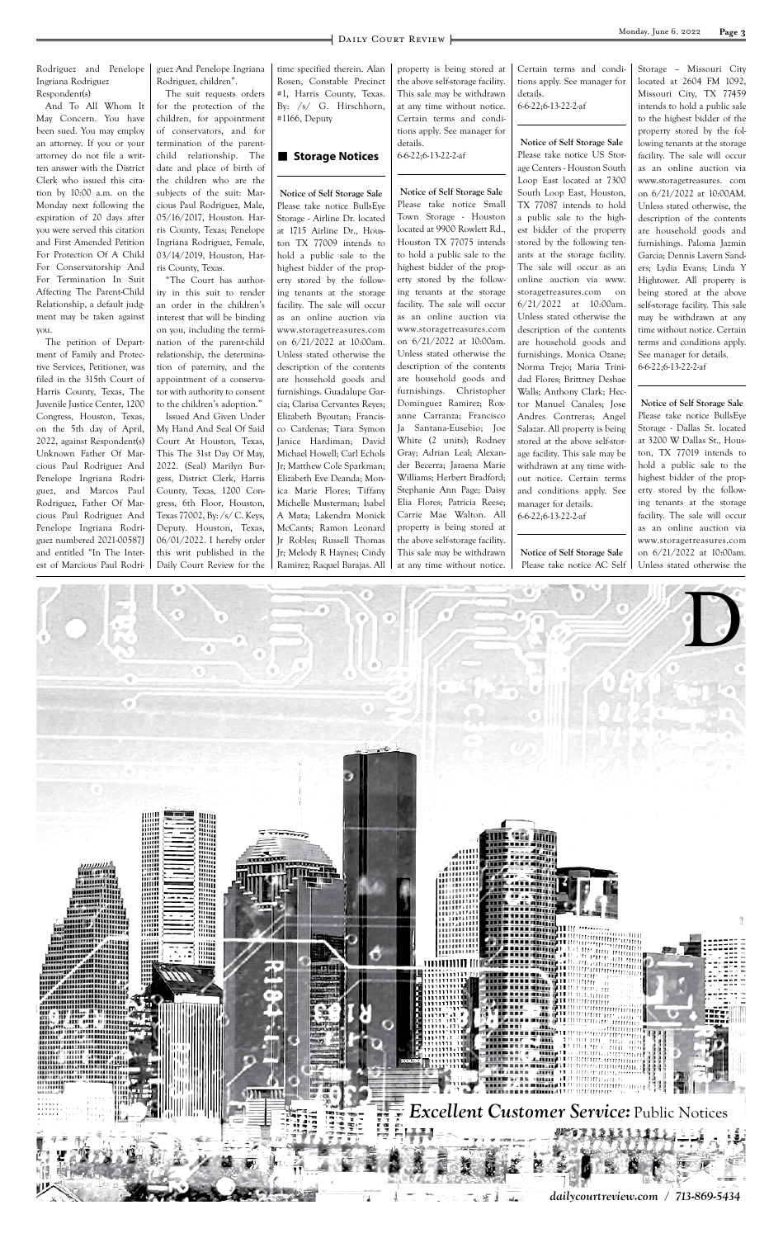

Rodriguez and Penelope Ingriana Rodriguez Respondent(s)

And To All Whom It May Concern. You have been sued. You may employ an attorney. If you or your attorney do not file a written answer with the District Clerk who issued this citation by 10:00 a.m. on the Monday next following the expiration of 20 days after you were served this citation and First Amended Petition For Protection Of A Child For Conservatorship And For Termination In Suit Affecting The Parent-Child Relationship, a default judgment may be taken against you.

The petition of Department of Family and Protective Services, Petitioner, was filed in the 315th Court of Harris County, Texas, The Juvenile Justice Center, 1200 Congress, Houston, Texas, on the 5th day of April, 2022, against Respondent(s) Unknown Father Of Marcious Paul Rodriguez And Penelope Ingriana Rodriguez, and Marcos Paul Rodriguez, Father Of Marcious Paul Rodriguez And Penelope Ingriana Rodriguez numbered 2021-00587J and entitled "In The Interest of Marcious Paul Rodri-

guez And Penelope Ingriana Rodriguez, children".

The suit requests orders for the protection of the children, for appointment of conservators, and for termination of the parentchild relationship. The date and place of birth of the children who are the subjects of the suit: Marcious Paul Rodriguez, Male, 05/16/2017, Houston. Harris County, Texas; Penelope Ingriana Rodriguez, Female, 03/14/2019, Houston, Harris County, Texas.

"The Court has authority in this suit to render an order in the children's interest that will be binding on you, including the termination of the parent-child relationship, the determination of paternity, and the appointment of a conservator with authority to consent to the children's adoption."

Issued And Given Under My Hand And Seal Of Said Court At Houston, Texas, This The 31st Day Of May, 2022. (Seal) Marilyn Burgess, District Clerk, Harris County, Texas, 1200 Congress, 6th Floor, Houston, Texas 77002, By: /s/ C. Keys, Deputy. Houston, Texas, 06/01/2022. I hereby order this writ published in the Daily Court Review for the time specified therein. Alan Rosen, Constable Precinct #1, Harris County, Texas. By: /s/ G. Hirschhorn, #1166, Deputy

#### ■ Storage Notices

**Notice of Self Storage Sale** Please take notice BullsEye Storage - Airline Dr. located at 1715 Airline Dr., Houston TX 77009 intends to hold a public sale to the highest bidder of the property stored by the following tenants at the storage facility. The sale will occur as an online auction via www.storagetreasures.com on 6/21/2022 at 10:00am. Unless stated otherwise the description of the contents are household goods and furnishings. Guadalupe Garcia; Clarisa Cervantes Reyes; Elizabeth Byoutan; Francisco Cardenas; Tiara Symon Janice Hardiman; David Michael Howell; Carl Echols Jr; Matthew Cole Sparkman; Elizabeth Eve Deanda; Monica Marie Flores; Tiffany Michelle Musterman; Isabel A Mata; Lakendra Monick McCants; Ramon Leonard Jr Robles; Russell Thomas Jr; Melody R Haynes; Cindy Ramirez; Raquel Barajas. All property is being stored at the above self-storage facility. This sale may be withdrawn at any time without notice. Certain terms and conditions apply. See manager for details. 6-6-22;6-13-22-2-af

**Notice of Self Storage Sale** Please take notice Small Town Storage - Houston located at 9900 Rowlett Rd., Houston TX 77075 intends to hold a public sale to the highest bidder of the property stored by the following tenants at the storage facility. The sale will occur as an online auction via www.storagetreasures.com on 6/21/2022 at 10:00am. Unless stated otherwise the description of the contents are household goods and furnishings. Christopher Dominguez Ramirez; Roxanne Carranza; Francisco Ja Santana-Eusebio; Joe White (2 units); Rodney Gray; Adrian Leal; Alexander Becerra; Jaraena Marie Williams; Herbert Bradford; Stephanie Ann Page; Daisy Elia Flores; Patricia Reese; Carrie Mae Walton. All property is being stored at the above self-storage facility. This sale may be withdrawn at any time without notice. Certain terms and conditions apply. See manager for details. 6-6-22;6-13-22-2-af

#### **Notice of Self Storage Sale** Please take notice US Storage Centers - Houston South Loop East located at 7300 South Loop East, Houston, TX 77087 intends to hold a public sale to the highest bidder of the property stored by the following tenants at the storage facility. The sale will occur as an online auction via www. storagetreasures.com on 6/21/2022 at 10:00am. Unless stated otherwise the description of the contents are household goods and furnishings. Monica Ozane; Norma Trejo; Maria Trinidad Flores; Brittney Deshae Walls; Anthony Clark; Hector Manuel Canales; Jose Andres Contreras; Angel Salazar. All property is being stored at the above self-storage facility. This sale may be withdrawn at any time without notice. Certain terms and conditions apply. See manager for details. 6-6-22;6-13-22-2-af

**Notice of Self Storage Sale** Please take notice AC Self Storage – Missouri City located at 2604 FM 1092, Missouri City, TX 77459 intends to hold a public sale to the highest bidder of the property stored by the following tenants at the storage facility. The sale will occur as an online auction via www.storagetreasures. com on 6/21/2022 at 10:00AM. Unless stated otherwise, the description of the contents are household goods and furnishings. Paloma Jazmin Garcia; Dennis Lavern Sanders; Lydia Evans; Linda Y Hightower. All property is being stored at the above self-storage facility. This sale may be withdrawn at any time without notice. Certain terms and conditions apply. See manager for details. 6-6-22;6-13-22-2-af

**Notice of Self Storage Sale** Please take notice BullsEye Storage - Dallas St. located at 3200 W Dallas St., Houston, TX 77019 intends to hold a public sale to the highest bidder of the property stored by the following tenants at the storage facility. The sale will occur as an online auction via www.storagetreasures.com on 6/21/2022 at 10:00am. Unless stated otherwise the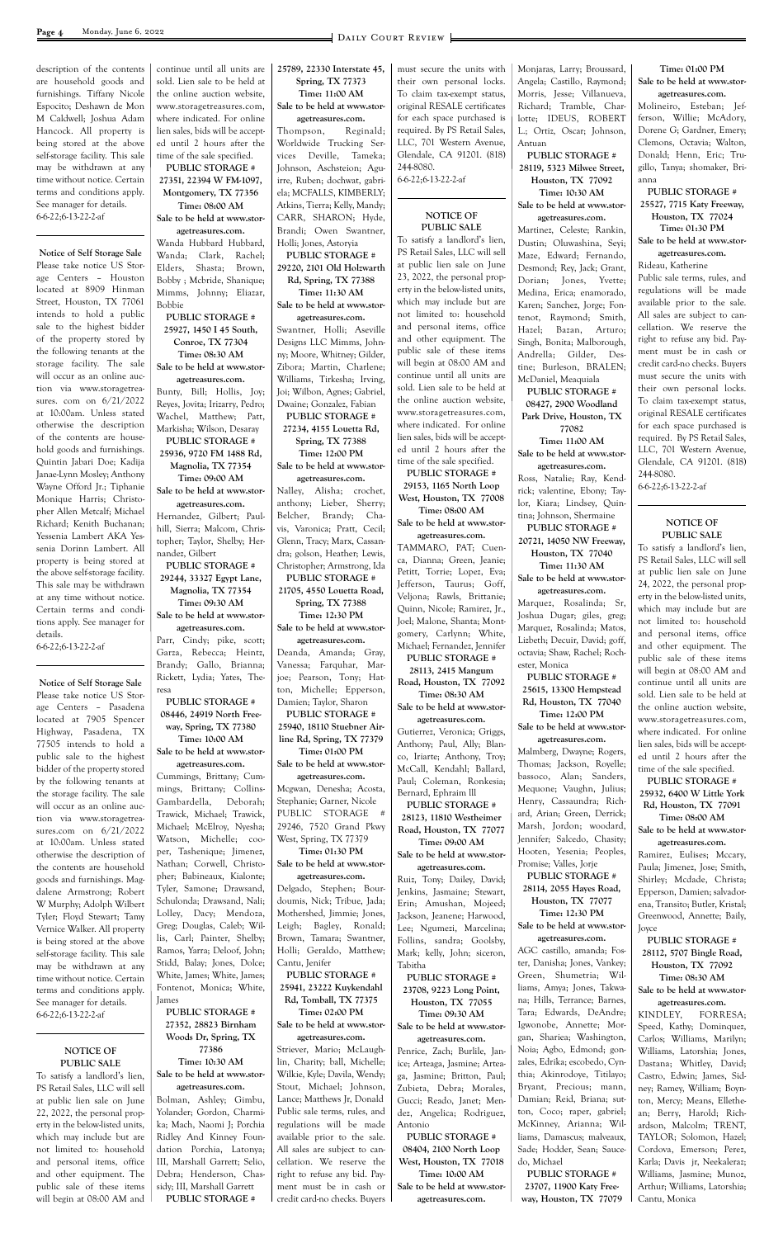description of the contents are household goods and furnishings. Tiffany Nicole Espocito; Deshawn de Mon M Caldwell; Joshua Adam Hancock. All property is being stored at the above self-storage facility. This sale may be withdrawn at any time without notice. Certain terms and conditions apply. See manager for details. 6-6-22;6-13-22-2-af

#### **Notice of Self Storage Sale**

Please take notice US Storage Centers – Houston located at 8909 Hinman Street, Houston, TX 77061 intends to hold a public sale to the highest bidder of the property stored by the following tenants at the storage facility. The sale will occur as an online auction via www.storagetreasures. com on 6/21/2022 at 10:00am. Unless stated otherwise the description of the contents are household goods and furnishings. Quintin Jabari Doe; Kadija Janae-Lynn Mosley; Anthony Wayne Offord Jr.; Tiphanie Monique Harris; Christopher Allen Metcalf; Michael Richard; Kenith Buchanan; Yessenia Lambert AKA Yessenia Dorinn Lambert. All property is being stored at the above self-storage facility. This sale may be withdrawn at any time without notice. Certain terms and conditions apply. See manager for details.

6-6-22;6-13-22-2-af

#### **Notice of Self Storage Sale** Please take notice US Stor-

age Centers – Pasadena located at 7905 Spencer Highway, Pasadena, TX 77505 intends to hold a public sale to the highest bidder of the property stored by the following tenants at the storage facility. The sale will occur as an online auction via www.storagetreasures.com on 6/21/2022 at 10:00am. Unless stated otherwise the description of the contents are household goods and furnishings. Magdalene Armstrong; Robert W Murphy; Adolph Wilbert

Tyler; Floyd Stewart; Tamy Vernice Walker. All property is being stored at the above self-storage facility. This sale may be withdrawn at any time without notice. Certain terms and conditions apply. See manager for details. 6-6-22;6-13-22-2-af

#### **NOTICE OF PUBLIC SALE**

To satisfy a landlord's lien, PS Retail Sales, LLC will sell at public lien sale on June 22, 2022, the personal property in the below-listed units, which may include but are not limited to: household and personal items, office and other equipment. The public sale of these items will begin at 08:00 AM and continue until all units are sold. Lien sale to be held at the online auction website, www.storagetreasures.com, where indicated. For online lien sales, bids will be accepted until 2 hours after the time of the sale specified.

#### **PUBLIC STORAGE # 27351, 22394 W FM-1097, Montgomery, TX 77356 Time: 08:00 AM Sale to be held at www.stor-**

**agetreasures.com.** Wanda Hubbard Hubbard, Wanda; Clark, Rachel; Elders, Shasta; Brown, Bobby ; Mcbride, Shanique; Mimms, Johnny; Eliazar, Bobbie

**PUBLIC STORAGE # 25927, 1450 I 45 South, Conroe, TX 77304 Time: 08:30 AM Sale to be held at www.stor-**

**agetreasures.com.** Bunty, Bill; Hollis, Joy; Reyes, Jovita; Irizarry, Pedro; Wachel, Matthew; Patt, Markisha; Wilson, Desaray

#### **PUBLIC STORAGE # 25936, 9720 FM 1488 Rd,**

**Magnolia, TX 77354 Time: 09:00 AM**

**Sale to be held at www.storagetreasures.com.**

Hernandez, Gilbert; Paulhill, Sierra; Malcom, Christopher; Taylor, Shelby; Hernandez, Gilbert

**PUBLIC STORAGE # 29244, 33327 Egypt Lane, Magnolia, TX 77354**

**Time: 09:30 AM Sale to be held at www.stor-**

**agetreasures.com.** Parr, Cindy; pike, scott; Garza, Rebecca; Heintz, Brandy; Gallo, Brianna; Rickett, Lydia; Yates, Theresa

**PUBLIC STORAGE # 08446, 24919 North Freeway, Spring, TX 77380**

**Time: 10:00 AM Sale to be held at www.stor-**

**agetreasures.com.** Cummings, Brittany; Cummings, Brittany; Collins-Gambardella, Deborah; Trawick, Michael; Trawick, Michael; McElroy, Nyesha; Watson, Michelle; cooper, Tashenique; Jimenez, Nathan; Corwell, Christopher; Babineaux, Kialonte; Tyler, Samone; Drawsand, Schulonda; Drawsand, Nali;

Lolley, Dacy; Mendoza, Greg; Douglas, Caleb; Willis, Carl; Painter, Shelby; Ramos, Yarra; Deloof, John; Stidd, Balay; Jones, Dolce; White, James; White, James; Fontenot, Monica; White, James

**PUBLIC STORAGE # 27352, 28823 Birnham Woods Dr, Spring, TX 77386 Time: 10:30 AM Sale to be held at www.stor-**

**agetreasures.com.** Bolman, Ashley; Gimbu, Yolander; Gordon, Charmika; Mach, Naomi J; Porchia Ridley And Kinney Foundation Porchia, Latonya; III, Marshall Garrett; Selio, Debra; Henderson, Chassidy; III, Marshall Garrett **PUBLIC STORAGE #** 

#### **25789, 22330 Interstate 45, Spring, TX 77373 Time: 11:00 AM**

#### **Sale to be held at www.storagetreasures.com.**

Thompson, Reginald; Worldwide Trucking Services Deville, Tameka; Johnson, Aschsteion; Aguirre, Ruben; dochwat, gabriela; MCFALLS, KIMBERLY; Atkins, Tierra; Kelly, Mandy; CARR, SHARON; Hyde, Brandi; Owen Swantner, Holli; Jones, Astoryia

**PUBLIC STORAGE # 29220, 2101 Old Holzwarth Rd, Spring, TX 77388**

**Time: 11:30 AM Sale to be held at www.stor-**

**agetreasures.com.**

Swantner, Holli; Aseville Designs LLC Mimms, Johnny; Moore, Whitney; Gilder, Zibora; Martin, Charlene; Williams, Tirkesha; Irving, Joi; Wilbon, Agnes; Gabriel, Dwaine; Gonzalez, Fabian **PUBLIC STORAGE #** 

**27234, 4155 Louetta Rd, Spring, TX 77388 Time: 12:00 PM**

**Sale to be held at www.storagetreasures.com.**

Nalley, Alisha; crochet, anthony; Lieber, Sherry; Belcher, Brandy; Chavis, Varonica; Pratt, Cecil; Glenn, Tracy; Marx, Cassandra; golson, Heather; Lewis, Christopher; Armstrong, Ida **PUBLIC STORAGE #** 

**21705, 4550 Louetta Road, Spring, TX 77388 Time: 12:30 PM**

**Sale to be held at www.storagetreasures.com.**

Deanda, Amanda; Gray, Vanessa; Farquhar, Marjoe; Pearson, Tony; Hatton, Michelle; Epperson, Damien; Taylor, Sharon

**PUBLIC STORAGE # 25940, 18110 Stuebner Air-**

**line Rd, Spring, TX 77379 Time: 01:00 PM**

**Sale to be held at www.storagetreasures.com.**

Mcgwan, Denesha; Acosta, Stephanie; Garner, Nicole PUBLIC STORAGE # 29246, 7520 Grand Pkwy West, Spring, TX 77379 **Time: 01:30 PM**

**Sale to be held at www.storagetreasures.com.**

Delgado, Stephen; Bourdoumis, Nick; Tribue, Jada;

Mothershed, Jimmie; Jones, Leigh; Bagley, Ronald; Brown, Tamara; Swantner, Holli; Geraldo, Matthew; Cantu, Jenifer **PUBLIC STORAGE # 25941, 23222 Kuykendahl Rd, Tomball, TX 77375 Time: 02:00 PM Sale to be held at www.storagetreasures.com.**

Striever, Mario; McLaughlin, Charity; ball, Michelle; Wilkie, Kyle; Davila, Wendy; Stout, Michael; Johnson, Lance; Matthews Jr, Donald Public sale terms, rules, and regulations will be made available prior to the sale. All sales are subject to cancellation. We reserve the right to refuse any bid. Payment must be in cash or credit card-no checks. Buyers

must secure the units with their own personal locks. To claim tax-exempt status, original RESALE certificates for each space purchased is required. By PS Retail Sales, LLC, 701 Western Avenue, Glendale, CA 91201. (818) 244-8080.

6-6-22;6-13-22-2-af

#### **NOTICE OF PUBLIC SALE**

To satisfy a landlord's lien, PS Retail Sales, LLC will sell at public lien sale on June 23, 2022, the personal property in the below-listed units, which may include but are not limited to: household and personal items, office and other equipment. The public sale of these items will begin at 08:00 AM and continue until all units are sold. Lien sale to be held at the online auction website, www.storagetreasures.com, where indicated. For online lien sales, bids will be accepted until 2 hours after the time of the sale specified.

**PUBLIC STORAGE # 29153, 1165 North Loop West, Houston, TX 77008 Time: 08:00 AM**

**Sale to be held at www.storagetreasures.com.** TAMMARO, PAT; Cuenca, Dianna; Green, Jeanie; Petitt, Torrie; Lopez, Eva; Jefferson, Taurus; Goff, Veljona; Rawls, Brittanie; Quinn, Nicole; Ramirez, Jr., Joel; Malone, Shanta; Mont-

gomery, Carlynn; White, Michael; Fernandez, Jennifer **PUBLIC STORAGE #** 

**28113, 2415 Mangum Road, Houston, TX 77092**

**Time: 08:30 AM Sale to be held at www.stor-**

**agetreasures.com.** Gutierrez, Veronica; Griggs, Anthony; Paul, Ally; Blanco, Iriarte; Anthony, Troy; McCall, Kendahl; Ballard, Paul; Coleman, Ronkesia; Bernard, Ephraim lll

**PUBLIC STORAGE # 28123, 11810 Westheimer Road, Houston, TX 77077 Time: 09:00 AM**

**Sale to be held at www.storagetreasures.com.**

Ruiz, Tony; Dailey, David; Jenkins, Jasmaine; Stewart, Erin; Amushan, Mojeed; Jackson, Jeanene; Harwood, Lee; Ngumezi, Marcelina; Follins, sandra; Goolsby, Mark; kelly, John; siceron, Tabitha **PUBLIC STORAGE # 23708, 9223 Long Point, Houston, TX 77055 Time: 09:30 AM Sale to be held at www.storagetreasures.com.** Penrice, Zach; Burlile, Janice; Arteaga, Jasmine; Arteaga, Jasmine; Britton, Paul; Zubieta, Debra; Morales, Gucci; Reado, Janet; Mendez, Angelica; Rodriguez, Antonio **PUBLIC STORAGE # 08404, 2100 North Loop West, Houston, TX 77018 Time: 10:00 AM Sale to be held at www.storagetreasures.com.**

Monjaras, Larry; Broussard, Angela; Castillo, Raymond; Morris, Jesse; Villanueva, Richard; Tramble, Charlotte; IDEUS, ROBERT L.; Ortiz, Oscar; Johnson, Antuan

**PUBLIC STORAGE # 28119, 5323 Milwee Street, Houston, TX 77092**

**Time: 10:30 AM Sale to be held at www.storagetreasures.com.**

Martinez, Celeste; Rankin, Dustin; Oluwashina, Seyi; Maze, Edward; Fernando, Desmond; Rey, Jack; Grant, Dorian; Jones, Yvette; Medina, Erica; enamorado, Karen; Sanchez, Jorge; Fontenot, Raymond; Smith, Hazel; Bazan, Arturo; Singh, Bonita; Malborough, Andrella; Gilder, Destine; Burleson, BRALEN; McDaniel, Meaquiala

**PUBLIC STORAGE # 08427, 2900 Woodland Park Drive, Houston, TX 77082**

**Time: 11:00 AM Sale to be held at www.stor-**

**agetreasures.com.** Ross, Natalie; Ray, Kendrick; valentine, Ebony; Taylor, Kiara; Lindsey, Quintina; Johnson, Shermaine **PUBLIC STORAGE # 20721, 14050 NW Freeway,** 

**Houston, TX 77040 Time: 11:30 AM**

**Sale to be held at www.storagetreasures.com.**

Marquez, Rosalinda; Sr, Joshua Dugar; giles, greg; Marquez, Rosalinda; Matos, Lizbeth; Decuir, David; goff, octavia; Shaw, Rachel; Rochester, Monica

**PUBLIC STORAGE # 25615, 13300 Hempstead Rd, Houston, TX 77040 Time: 12:00 PM**

**Sale to be held at www.storagetreasures.com.**

Malmberg, Dwayne; Rogers, Thomas; Jackson, Royelle; bassoco, Alan; Sanders, Mequone; Vaughn, Julius; Henry, Cassaundra; Richard, Arian; Green, Derrick; Marsh, Jordon; woodard, Jennifer; Salcedo, Chasity; Hooten, Yesenia; Peoples, Promise; Valles, Jorje

**PUBLIC STORAGE # 28114, 2055 Hayes Road, Houston, TX 77077**

**Time: 12:30 PM Sale to be held at www.storagetreasures.com.** AGC castillo, amanda; Foster, Danisha; Jones, Vankey; Green, Shumetria; Williams, Amya; Jones, Takwana; Hills, Terrance; Barnes, Tara; Edwards, DeAndre; Igwonobe, Annette; Morgan, Shariea; Washington, Noia; Agbo, Edmond; gonzales, Edrika; escobedo, Cynthia; Akinrodoye, Titilayo; Bryant, Precious; mann, Damian; Reid, Briana; sutton, Coco; raper, gabriel; McKinney, Arianna; Williams, Damascus; malveaux, Sade; Hodder, Sean; Saucedo, Michael **PUBLIC STORAGE # 23707, 11900 Katy Freeway, Houston, TX 77079**

**Time: 01:00 PM Sale to be held at www.stor-**

**agetreasures.com.** Molineiro, Esteban; Jefferson, Willie; McAdory, Dorene G; Gardner, Emery; Clemons, Octavia; Walton, Donald; Henn, Eric; Trugillo, Tanya; shomaker, Brianna

**PUBLIC STORAGE # 25527, 7715 Katy Freeway, Houston, TX 77024**

**Time: 01:30 PM Sale to be held at www.storagetreasures.com.**

Rideau, Katherine

Public sale terms, rules, and regulations will be made available prior to the sale. All sales are subject to cancellation. We reserve the right to refuse any bid. Payment must be in cash or credit card-no checks. Buyers must secure the units with their own personal locks. To claim tax-exempt status, original RESALE certificates for each space purchased is required. By PS Retail Sales, LLC, 701 Western Avenue, Glendale, CA 91201. (818) 244-8080.

6-6-22;6-13-22-2-af

#### **NOTICE OF PUBLIC SALE**

To satisfy a landlord's lien, PS Retail Sales, LLC will sell at public lien sale on June 24, 2022, the personal property in the below-listed units, which may include but are not limited to: household and personal items, office and other equipment. The public sale of these items will begin at 08:00 AM and continue until all units are sold. Lien sale to be held at the online auction website, www.storagetreasures.com, where indicated. For online lien sales, bids will be accepted until 2 hours after the time of the sale specified.

**PUBLIC STORAGE # 25932, 6400 W Little York Rd, Houston, TX 77091 Time: 08:00 AM**

**Sale to be held at www.stor-**

**agetreasures.com.** Ramirez, Eulises; Mccary, Paula; Jimenez, Jose; Smith, Shirley; Mcdade, Christa; Epperson, Damien; salvadorena, Transito; Butler, Kristal; Greenwood, Annette; Baily, Joyce **PUBLIC STORAGE # 28112, 5707 Bingle Road, Houston, TX 77092 Time: 08:30 AM Sale to be held at www.storagetreasures.com.** KINDLEY, FORRESA; Speed, Kathy; Dominquez, Carlos; Williams, Marilyn; Williams, Latorshia; Jones, Dastana; Whitley, David; Castro, Edwin; James, Sidney; Ramey, William; Boynton, Mercy; Means, Ellethean; Berry, Harold; Richardson, Malcolm; TRENT, TAYLOR; Solomon, Hazel; Cordova, Emerson; Perez, Karla; Davis jr, Neekaleraz; Williams, Jasmine; Munoz, Arthur; Williams, Latorshia; Cantu, Monica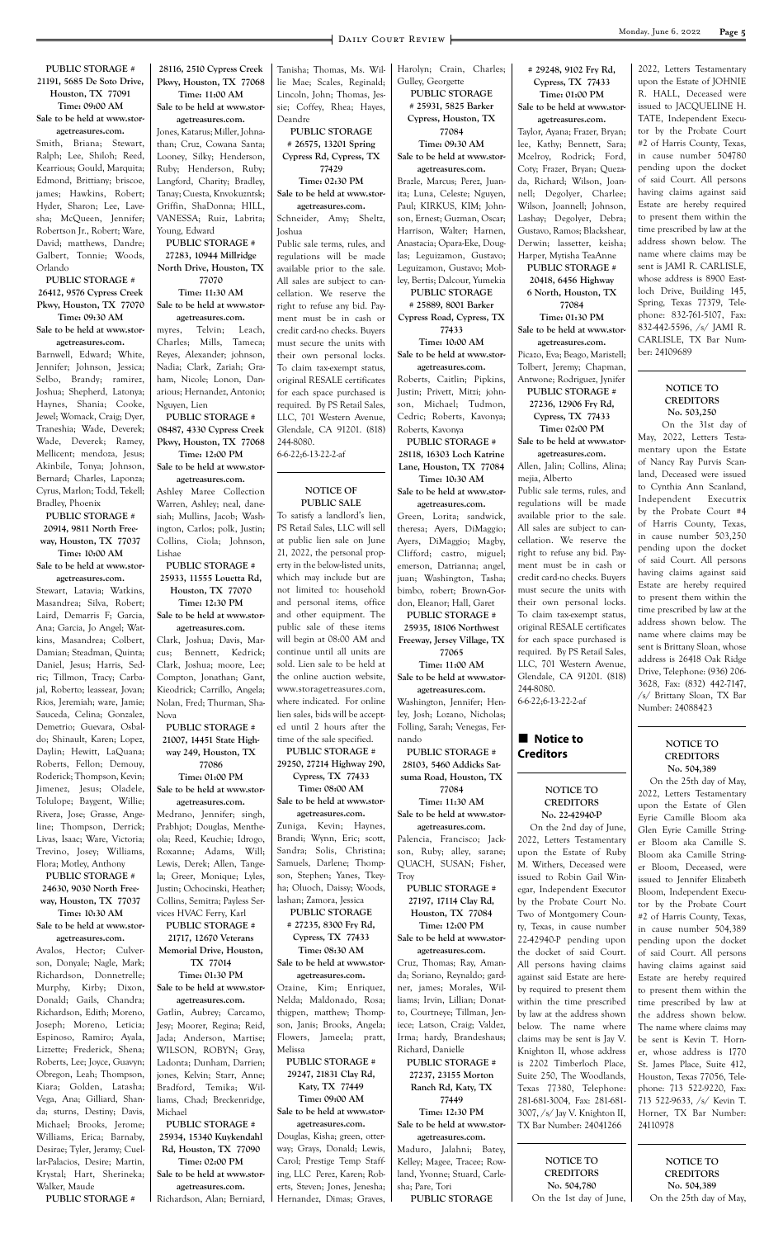#### **Page 5** DAILY COURT REVIEW

**PUBLIC STORAGE # 21191, 5685 De Soto Drive, Houston, TX 77091 Time: 09:00 AM Sale to be held at www.stor-**

**agetreasures.com.**

Smith, Briana; Stewart, Ralph; Lee, Shiloh; Reed, Kearrious; Gould, Marquita; Edmond, Brittiany; briscoe, james; Hawkins, Robert; Hyder, Sharon; Lee, Lavesha; McQueen, Jennifer; Robertson Jr., Robert; Ware, David; matthews, Dandre; Galbert, Tonnie; Woods, Orlando

**PUBLIC STORAGE # 26412, 9576 Cypress Creek Pkwy, Houston, TX 77070 Time: 09:30 AM Sale to be held at www.stor-**

**agetreasures.com.** Barnwell, Edward; White, Jennifer; Johnson, Jessica; Selbo, Brandy; ramirez, Joshua; Shepherd, Latonya; Haynes, Shania; Cooke, Jewel; Womack, Craig; Dyer, Traneshia; Wade, Deverek; Wade, Deverek; Ramey, Mellicent; mendoza, Jesus; Akinbile, Tonya; Johnson, Bernard; Charles, Laponza; Cyrus, Marlon; Todd, Tekell; Bradley, Phoenix

**PUBLIC STORAGE # 20914, 9811 North Freeway, Houston, TX 77037 Time: 10:00 AM**

**Sale to be held at www.storagetreasures.com.**

Stewart, Latavia; Watkins, Masandrea; Silva, Robert; Laird, Demarris F; Garcia, Ana; Garcia, Jo Angel; Watkins, Masandrea; Colbert, Damian; Steadman, Quinta; Daniel, Jesus; Harris, Sedric; Tillmon, Tracy; Carbajal, Roberto; leassear, Jovan; Rios, Jeremiah; ware, Jamie; Sauceda, Celina; Gonzalez, Demetrio; Guevara, Osbaldo; Shinault, Karen; Lopez, Daylin; Hewitt, LaQuana; Roberts, Fellon; Demouy, Roderick; Thompson, Kevin; Jimenez, Jesus; Oladele, Tolulope; Baygent, Willie; Rivera, Jose; Grasse, Angeline; Thompson, Derrick; Livas, Isaac; Ware, Victoria; Trevino, Josey; Williams, Flora; Motley, Anthony

**PUBLIC STORAGE # 24630, 9030 North Freeway, Houston, TX 77037**

**Time: 10:30 AM Sale to be held at www.stor-**

#### **agetreasures.com.**

Avalos, Hector; Culverson, Donyale; Nagle, Mark; Richardson, Donnetrelle; Murphy, Kirby; Dixon, Donald; Gails, Chandra; Richardson, Edith; Moreno, Joseph; Moreno, Leticia; Espinoso, Ramiro; Ayala, Lizzette; Frederick, Shena; Roberts, Lee; Joyce, Guavyn; Obregon, Leah; Thompson, Kiara; Golden, Latasha; Vega, Ana; Gilliard, Shanda; sturns, Destiny; Davis, Michael; Brooks, Jerome; Williams, Erica; Barnaby, Desirae; Tyler, Jeramy; Cuellar-Palacios, Desire; Martin, Krystal; Hart, Sherineka; Walker, Maude **PUBLIC STORAGE #** 

**28116, 2510 Cypress Creek Pkwy, Houston, TX 77068 Time: 11:00 AM**

**Sale to be held at www.storagetreasures.com.**

Jones, Katarus; Miller, Johnathan; Cruz, Cowana Santa; Looney, Silky; Henderson, Ruby; Henderson, Ruby; Langford, Charity; Bradley, Tanay; Cuesta, Knvokuzntsk; Griffin, ShaDonna; HILL, VANESSA; Ruiz, Labrita; Young, Edward

**PUBLIC STORAGE # 27283, 10944 Millridge North Drive, Houston, TX 77070**

**Time: 11:30 AM Sale to be held at www.stor-**

**agetreasures.com.** myres, Telvin; Leach, Charles; Mills, Tameca; Reyes, Alexander; johnson, Nadia; Clark, Zariah; Graham, Nicole; Lonon, Danarious; Hernandez, Antonio; Nguyen, Lien

**PUBLIC STORAGE # 08487, 4330 Cypress Creek Pkwy, Houston, TX 77068**

**Time: 12:00 PM Sale to be held at www.stor-**

**agetreasures.com.** Ashley Maree Collection

Warren, Ashley; neal, danesiah; Mullins, Jacob; Washington, Carlos; polk, Justin; Collins, Ciola; Johnson, Lishae

**PUBLIC STORAGE # 25933, 11555 Louetta Rd, Houston, TX 77070**

**Time: 12:30 PM Sale to be held at www.stor-**

**agetreasures.com.** Clark, Joshua; Davis, Marcus; Bennett, Kedrick; Clark, Joshua; moore, Lee; Compton, Jonathan; Gant, Kieodrick; Carrillo, Angela; Nolan, Fred; Thurman, Sha-Nova

**PUBLIC STORAGE # 21007, 14451 State Highway 249, Houston, TX 77086**

**Time: 01:00 PM Sale to be held at www.stor-**

**agetreasures.com.**

Medrano, Jennifer; singh, Prabhjot; Douglas, Mentheola; Reed, Keuchie; Idrogo, Roxanne; Adams, Will; Lewis, Derek; Allen, Tangela; Greer, Monique; Lyles, Justin; Ochocinski, Heather; Collins, Semitra; Payless Services HVAC Ferry, Karl **PUBLIC STORAGE # 21717, 12670 Veterans Memorial Drive, Houston, TX 77014 Time: 01:30 PM Sale to be held at www.storagetreasures.com.** Gatlin, Aubrey; Carcamo, Jesy; Moorer, Regina; Reid, Jada; Anderson, Martise; WILSON, ROBYN; Gray, Ladonta; Dunham, Darrien; jones, Kelvin; Starr, Anne; Bradford, Temika; Williams, Chad; Breckenridge, Michael **PUBLIC STORAGE # 25934, 15340 Kuykendahl Rd, Houston, TX 77090 Time: 02:00 PM Sale to be held at www.storagetreasures.com.** Richardson, Alan; Berniard, Tanisha; Thomas, Ms. Willie Mae; Scales, Reginald; Lincoln, John; Thomas, Jessie; Coffey, Rhea; Hayes, Deandre

**PUBLIC STORAGE # 26575, 13201 Spring Cypress Rd, Cypress, TX 77429**

**Time: 02:30 PM Sale to be held at www.storagetreasures.com.**

Schneider, Amy; Sheltz, Joshua

Public sale terms, rules, and regulations will be made available prior to the sale. All sales are subject to cancellation. We reserve the right to refuse any bid. Payment must be in cash or credit card-no checks. Buyers must secure the units with their own personal locks. To claim tax-exempt status, original RESALE certificates for each space purchased is required. By PS Retail Sales, LLC, 701 Western Avenue, Glendale, CA 91201. (818) 244-8080.

#### **Notice to Creditors**

6-6-22;6-13-22-2-af

#### **NOTICE OF PUBLIC SALE**

To satisfy a landlord's lien, PS Retail Sales, LLC will sell at public lien sale on June 21, 2022, the personal property in the below-listed units, which may include but are not limited to: household and personal items, office and other equipment. The public sale of these items will begin at 08:00 AM and continue until all units are sold. Lien sale to be held at the online auction website, www.storagetreasures.com, where indicated. For online lien sales, bids will be accepted until 2 hours after the time of the sale specified.

**PUBLIC STORAGE # 29250, 27214 Highway 290, Cypress, TX 77433**

**Time: 08:00 AM Sale to be held at www.stor-**

**agetreasures.com.** Zuniga, Kevin; Haynes, Brandi; Wynn, Eric; scott, Sandra; Solis, Christina; Samuels, Darlene; Thompson, Stephen; Yanes, Tkeyha; Oluoch, Daissy; Woods, lashan; Zamora, Jessica

**PUBLIC STORAGE # 27235, 8300 Fry Rd, Cypress, TX 77433 Time: 08:30 AM Sale to be held at www.storagetreasures.com.** Ozaine, Kim; Enriquez, Nelda; Maldonado, Rosa; thigpen, matthew; Thompson, Janis; Brooks, Angela; Flowers, Jameela; pratt,

Melissa

**PUBLIC STORAGE # 29247, 21831 Clay Rd, Katy, TX 77449 Time: 09:00 AM Sale to be held at www.storagetreasures.com.** Douglas, Kisha; green, otterway; Grays, Donald; Lewis, Carol; Prestige Temp Staffing, LLC Perez, Karen; Roberts, Steven; Jones, Jenesha; Hernandez, Dimas; Graves, Harolyn; Crain, Charles; Gulley, Georgette **PUBLIC STORAGE** 

**# 25931, 5825 Barker Cypress, Houston, TX 77084 Time: 09:30 AM**

**Sale to be held at www.storagetreasures.com.**

Brazle, Marcus; Perez, Juanita; Luna, Celeste; Nguyen, Paul; KIRKUS, KIM; Johnson, Ernest; Guzman, Oscar; Harrison, Walter; Harnen, Anastacia; Opara-Eke, Douglas; Leguizamon, Gustavo; Leguizamon, Gustavo; Mobley, Bertis; Dalcour, Yumekia

**PUBLIC STORAGE # 25889, 8001 Barker Cypress Road, Cypress, TX** 

**77433 Time: 10:00 AM Sale to be held at www.storagetreasures.com.**

Roberts, Caitlin; Pipkins, Justin; Privett, Mitzi; johnson, Michael; Tudmon, Cedric; Roberts, Kavonya; Roberts, Kavonya

**PUBLIC STORAGE # 28118, 16303 Loch Katrine Lane, Houston, TX 77084 Time: 10:30 AM**

**Sale to be held at www.storagetreasures.com.**

Green, Lorita; sandwick, theresa; Ayers, DiMaggio; Ayers, DiMaggio; Magby, Clifford; castro, miguel; emerson, Datrianna; angel, juan; Washington, Tasha; bimbo, robert; Brown-Gordon, Eleanor; Hall, Garet **PUBLIC STORAGE #** 

**25935, 18106 Northwest Freeway, Jersey Village, TX 77065**

**Time: 11:00 AM Sale to be held at www.stor-**

**agetreasures.com.** Washington, Jennifer; Henley, Josh; Lozano, Nicholas;

Folling, Sarah; Venegas, Fer-

nando **PUBLIC STORAGE # 28103, 5460 Addicks Satsuma Road, Houston, TX 77084 Time: 11:30 AM Sale to be held at www.stor-**

**agetreasures.com.** Palencia, Francisco; Jackson, Ruby; alley, sarane; QUACH, SUSAN; Fisher, Troy

**PUBLIC STORAGE # 27197, 17114 Clay Rd, Houston, TX 77084 Time: 12:00 PM Sale to be held at www.storagetreasures.com.** Cruz, Thomas; Ray, Amanda; Soriano, Reynaldo; gardner, james; Morales, Williams; Irvin, Lillian; Donatto, Courtneye; Tillman, Jeniece; Latson, Craig; Valdez, Irma; hardy, Brandeshaus; Richard, Danielle **PUBLIC STORAGE # 27237, 23155 Morton Ranch Rd, Katy, TX 77449 Time: 12:30 PM Sale to be held at www.storagetreasures.com.** Maduro, Jalahni; Batey, Kelley; Magee, Tracee; Rowland, Yvonne; Stuard, Carlesha; Pare, Tori **PUBLIC STORAGE** 

**# 29248, 9102 Fry Rd, Cypress, TX 77433 Time: 01:00 PM**

**Sale to be held at www.storagetreasures.com.**

Taylor, Ayana; Frazer, Bryan; lee, Kathy; Bennett, Sara; Mcelroy, Rodrick; Ford, Coty; Frazer, Bryan; Quezada, Richard; Wilson, Joannell; Degolyer, Charlee; Wilson, Joannell; Johnson, Lashay; Degolyer, Debra; Gustavo, Ramos; Blackshear, Derwin; lassetter, keisha; Harper, Mytisha TeaAnne **PUBLIC STORAGE #** 

**20418, 6456 Highway 6 North, Houston, TX 77084**

**Time: 01:30 PM Sale to be held at www.stor-**

**agetreasures.com.** Picazo, Eva; Beago, Maristell; Tolbert, Jeremy; Chapman, Antwone; Rodriguez, Jynifer **PUBLIC STORAGE # 27236, 12906 Fry Rd, Cypress, TX 77433**

**Time: 02:00 PM Sale to be held at www.storagetreasures.com.**

Allen, Jalin; Collins, Alina; mejia, Alberto

Public sale terms, rules, and regulations will be made available prior to the sale. All sales are subject to cancellation. We reserve the right to refuse any bid. Payment must be in cash or credit card-no checks. Buyers must secure the units with their own personal locks. To claim tax-exempt status, original RESALE certificates for each space purchased is required. By PS Retail Sales, LLC, 701 Western Avenue, Glendale, CA 91201. (818) 244-8080. 6-6-22;6-13-22-2-af

#### **NOTICE TO CREDITORS No. 22-42940-P**

 On the 2nd day of June, 2022, Letters Testamentary upon the Estate of Ruby M. Withers, Deceased were issued to Robin Gail Winegar, Independent Executor by the Probate Court No. Two of Montgomery County, Texas, in cause number 22-42940-P pending upon the docket of said Court. All persons having claims against said Estate are hereby required to present them within the time prescribed by law at the address shown below. The name where claims may be sent is Jay V. Knighton II, whose address is 2202 Timberloch Place, Suite 250, The Woodlands, Texas 77380, Telephone: 281-681-3004, Fax: 281-681- 3007, /s/ Jay V. Knighton II, TX Bar Number: 24041266 **NOTICE TO CREDITORS No. 504,780** On the 1st day of June,

2022, Letters Testamentary upon the Estate of JOHNIE R. HALL, Deceased were issued to JACQUELINE H. TATE, Independent Executor by the Probate Court #2 of Harris County, Texas, in cause number 504780 pending upon the docket of said Court. All persons having claims against said Estate are hereby required to present them within the time prescribed by law at the address shown below. The name where claims may be sent is JAMI R. CARLISLE, whose address is 8900 Eastloch Drive, Building 145, Spring, Texas 77379, Telephone: 832-761-5107, Fax: 832-442-5596, /s/ JAMI R. CARLISLE, TX Bar Number: 24109689

#### **NOTICE TO CREDITORS No. 503,250**

 On the 31st day of May, 2022, Letters Testamentary upon the Estate of Nancy Ray Purvis Scanland, Deceased were issued to Cynthia Ann Scanland, Independent Executrix by the Probate Court #4 of Harris County, Texas, in cause number 503,250 pending upon the docket of said Court. All persons having claims against said Estate are hereby required to present them within the time prescribed by law at the address shown below. The name where claims may be sent is Brittany Sloan, whose address is 26418 Oak Ridge Drive, Telephone: (936) 206- 3628, Fax: (832) 442-7147, /s/ Brittany Sloan, TX Bar Number: 24088423

#### **NOTICE TO CREDITORS No. 504,389**

 On the 25th day of May, 2022, Letters Testamentary upon the Estate of Glen Eyrie Camille Bloom aka Glen Eyrie Camille Stringer Bloom aka Camille S. Bloom aka Camille Stringer Bloom, Deceased, were issued to Jennifer Elizabeth Bloom, Independent Executor by the Probate Court #2 of Harris County, Texas, in cause number 504,389 pending upon the docket of said Court. All persons having claims against said Estate are hereby required to present them within the time prescribed by law at the address shown below. The name where claims may be sent is Kevin T. Horner, whose address is 1770 St. James Place, Suite 412, Houston, Texas 77056, Telephone: 713 522-9220, Fax: 713 522-9633, /s/ Kevin T. Horner, TX Bar Number: 24110978

> **NOTICE TO CREDITORS No. 504,389** On the 25th day of May,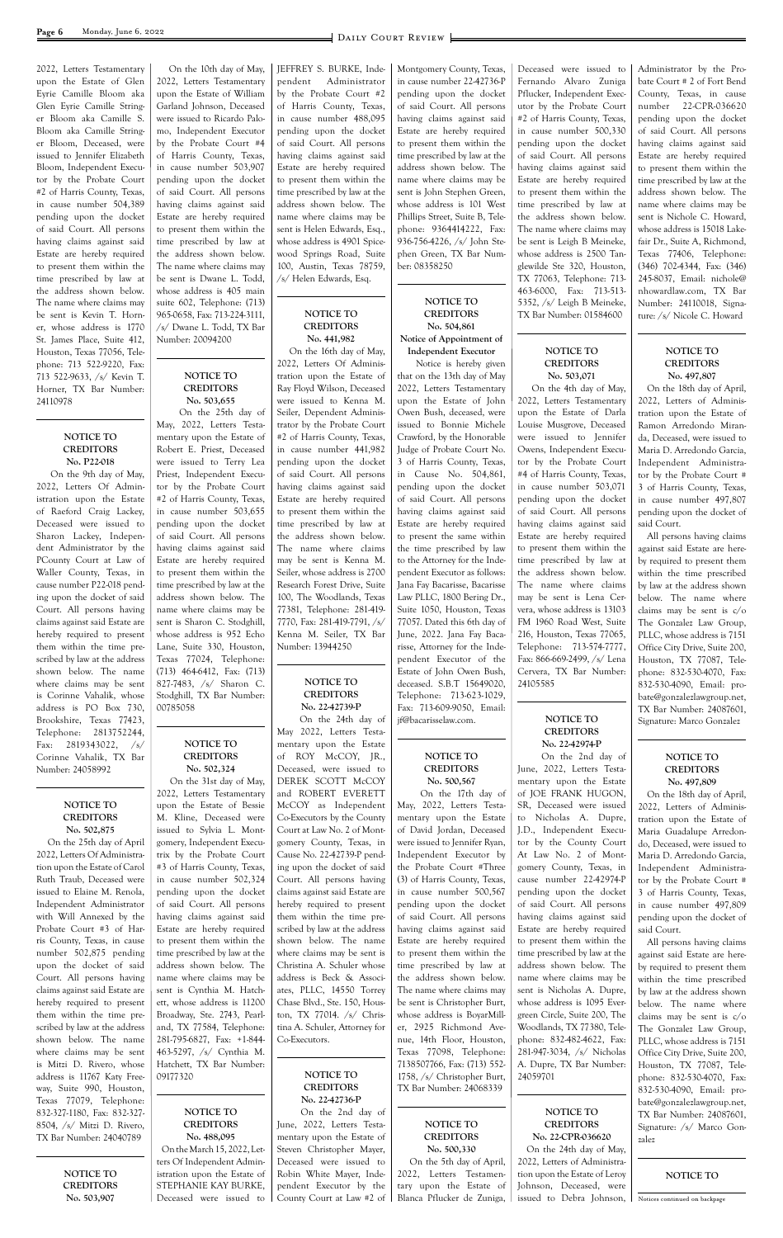2022, Letters Testamentary upon the Estate of Glen Eyrie Camille Bloom aka Glen Eyrie Camille Stringer Bloom aka Camille S. Bloom aka Camille Stringer Bloom, Deceased, were issued to Jennifer Elizabeth Bloom, Independent Executor by the Probate Court #2 of Harris County, Texas, in cause number 504,389 pending upon the docket of said Court. All persons having claims against said Estate are hereby required to present them within the time prescribed by law at the address shown below. The name where claims may be sent is Kevin T. Horner, whose address is 1770 St. James Place, Suite 412, Houston, Texas 77056, Telephone: 713 522-9220, Fax: 713 522-9633, /s/ Kevin T. Horner, TX Bar Number: 24110978

> **NOTICE TO CREDITORS No. P22-018**

 On the 9th day of May, 2022, Letters Of Administration upon the Estate of Raeford Craig Lackey, Deceased were issued to Sharon Lackey, Independent Administrator by the PCounty Court at Law of Waller County, Texas, in cause number P22-018 pending upon the docket of said Court. All persons having claims against said Estate are hereby required to present them within the time prescribed by law at the address shown below. The name where claims may be sent is Corinne Vahalik, whose address is PO Box 730, Brookshire, Texas 77423, Telephone: 2813752244, Fax: 2819343022, /s/ Corinne Vahalik, TX Bar Number: 24058992

#### **NOTICE TO CREDITORS No. 502,875**

 On the 25th day of April 2022, Letters Of Administration upon the Estate of Carol Ruth Traub, Deceased were issued to Elaine M. Renola, Independent Administrator

with Will Annexed by the Probate Court #3 of Harris County, Texas, in cause number 502,875 pending upon the docket of said Court. All persons having claims against said Estate are hereby required to present them within the time prescribed by law at the address shown below. The name where claims may be sent is Mitzi D. Rivero, whose address is 11767 Katy Freeway, Suite 990, Houston, Texas 77079, Telephone: 832-327-1180, Fax: 832-327- 8504, /s/ Mitzi D. Rivero, TX Bar Number: 24040789

> **NOTICE TO CREDITORS No. 503,907**

 On the 10th day of May, 2022, Letters Testamentary upon the Estate of William Garland Johnson, Deceased were issued to Ricardo Palomo, Independent Executor by the Probate Court #4 of Harris County, Texas, in cause number 503,907 pending upon the docket of said Court. All persons having claims against said Estate are hereby required to present them within the time prescribed by law at the address shown below. The name where claims may be sent is Dwane L. Todd, whose address is 405 main suite 602, Telephone: (713) 965-0658, Fax: 713-224-3111, /s/ Dwane L. Todd, TX Bar Number: 20094200

#### **NOTICE TO CREDITORS No. 503,655**

 On the 25th day of May, 2022, Letters Testamentary upon the Estate of Robert E. Priest, Deceased were issued to Terry Lea Priest, Independent Executor by the Probate Court #2 of Harris County, Texas, in cause number 503,655 pending upon the docket of said Court. All persons having claims against said Estate are hereby required to present them within the time prescribed by law at the address shown below. The name where claims may be sent is Sharon C. Stodghill, whose address is 952 Echo Lane, Suite 330, Houston, Texas 77024, Telephone: (713) 464-6412, Fax: (713) 827-7483, /s/ Sharon C. Stodghill, TX Bar Number: 00785058

#### **NOTICE TO CREDITORS No. 502,324**

 On the 31st day of May, 2022, Letters Testamentary upon the Estate of Bessie M. Kline, Deceased were issued to Sylvia L. Montgomery, Independent Executrix by the Probate Court #3 of Harris County, Texas, in cause number 502,324 pending upon the docket of said Court. All persons having claims against said Estate are hereby required to present them within the time prescribed by law at the address shown below. The name where claims may be sent is Cynthia M. Hatchett, whose address is 11200 Broadway, Ste. 2743, Pearland, TX 77584, Telephone: 281-795-6827, Fax: +1-844- 463-5297, /s/ Cynthia M. Hatchett, TX Bar Number: 09177320

**NOTICE TO CREDITORS No. 488,095** On the March 15, 2022, Letters Of Independent Administration upon the Estate of STEPHANIE KAY BURKE, Deceased were issued to

JEFFREY S. BURKE, Independent Administrator by the Probate Court #2 of Harris County, Texas, in cause number 488,095 pending upon the docket of said Court. All persons having claims against said Estate are hereby required to present them within the time prescribed by law at the address shown below. The name where claims may be sent is Helen Edwards, Esq., whose address is 4901 Spicewood Springs Road, Suite 100, Austin, Texas 78759, /s/ Helen Edwards, Esq.

#### **NOTICE TO CREDITORS No. 441,982**

 On the 16th day of May, 2022, Letters Of Administration upon the Estate of Ray Floyd Wilson, Deceased were issued to Kenna M. Seiler, Dependent Administrator by the Probate Court #2 of Harris County, Texas, in cause number 441,982 pending upon the docket of said Court. All persons having claims against said Estate are hereby required to present them within the time prescribed by law at the address shown below. The name where claims may be sent is Kenna M. Seiler, whose address is 2700 Research Forest Drive, Suite 100, The Woodlands, Texas 77381, Telephone: 281-419- 7770, Fax: 281-419-7791, /s/ Kenna M. Seiler, TX Bar Number: 13944250

#### **NOTICE TO CREDITORS No. 22-42739-P**

 On the 24th day of May 2022, Letters Testamentary upon the Estate of ROY McCOY, JR., Deceased, were issued to DEREK SCOTT McCOY and ROBERT EVERETT McCOY as Independent Co-Executors by the County Court at Law No. 2 of Montgomery County, Texas, in Cause No. 22-42739-P pending upon the docket of said Court. All persons having claims against said Estate are hereby required to present them within the time prescribed by law at the address shown below. The name where claims may be sent is Christina A. Schuler whose address is Beck & Associates, PLLC, 14550 Torrey Chase Blvd., Ste. 150, Houston, TX 77014. /s/ Christina A. Schuler, Attorney for Co-Executors.

**NOTICE TO CREDITORS No. 22-42736-P** On the 2nd day of June, 2022, Letters Testamentary upon the Estate of Steven Christopher Mayer, Deceased were issued to Robin White Mayer, Independent Executor by the County Court at Law #2 of

Montgomery County, Texas, in cause number 22-42736-P pending upon the docket of said Court. All persons having claims against said Estate are hereby required to present them within the time prescribed by law at the address shown below. The name where claims may be sent is John Stephen Green, whose address is 101 West Phillips Street, Suite B, Telephone: 9364414222, Fax: 936-756-4226, /s/ John Stephen Green, TX Bar Number: 08358250

#### **NOTICE TO CREDITORS No. 504,861 Notice of Appointment of Independent Executor**

 Notice is hereby given that on the 13th day of May 2022, Letters Testamentary upon the Estate of John Owen Bush, deceased, were issued to Bonnie Michele Crawford, by the Honorable Judge of Probate Court No. 3 of Harris County, Texas, in Cause No. 504,861, pending upon the docket of said Court. All persons having claims against said Estate are hereby required to present the same within the time prescribed by law to the Attorney for the Independent Executor as follows: Jana Fay Bacarisse, Bacarisse Law PLLC, 1800 Bering Dr., Suite 1050, Houston, Texas 77057. Dated this 6th day of June, 2022. Jana Fay Bacarisse, Attorney for the Independent Executor of the Estate of John Owen Bush, deceased. S.B.T 15649020, Telephone: 713-623-1029, Fax: 713-609-9050, Email: jf@bacarisselaw.com.

#### **NOTICE TO CREDITORS No. 500,567**

 On the 17th day of May, 2022, Letters Testamentary upon the Estate of David Jordan, Deceased were issued to Jennifer Ryan, Independent Executor by the Probate Court #Three (3) of Harris County, Texas, in cause number 500,567 pending upon the docket of said Court. All persons having claims against said Estate are hereby required to present them within the time prescribed by law at the address shown below. The name where claims may be sent is Christopher Burt, whose address is BoyarMiller, 2925 Richmond Avenue, 14th Floor, Houston, Texas 77098, Telephone: 7138507766, Fax: (713) 552- 1758, /s/ Christopher Burt, TX Bar Number: 24068339

**NOTICE TO CREDITORS No. 500,330** On the 5th day of April, 2022, Letters Testamentary upon the Estate of Blanca Pflucker de Zuniga,

Deceased were issued to Fernando Alvaro Zuniga Pflucker, Independent Executor by the Probate Court #2 of Harris County, Texas, in cause number 500,330 pending upon the docket of said Court. All persons having claims against said Estate are hereby required to present them within the time prescribed by law at the address shown below. The name where claims may be sent is Leigh B Meineke, whose address is 2500 Tanglewilde Ste 320, Houston, TX 77063, Telephone: 713- 463-6000, Fax: 713-513- 5352, /s/ Leigh B Meineke, TX Bar Number: 01584600

#### **NOTICE TO CREDITORS No. 503,071**

 On the 4th day of May, 2022, Letters Testamentary upon the Estate of Darla Louise Musgrove, Deceased were issued to Jennifer Owens, Independent Executor by the Probate Court #4 of Harris County, Texas, in cause number 503,071 pending upon the docket of said Court. All persons having claims against said Estate are hereby required to present them within the time prescribed by law at the address shown below. The name where claims may be sent is Lena Cervera, whose address is 13103 FM 1960 Road West, Suite 216, Houston, Texas 77065, Telephone: 713-574-7777, Fax: 866-669-2499, /s/ Lena Cervera, TX Bar Number: 24105585

#### **NOTICE TO CREDITORS No. 22-42974-P**

 On the 2nd day of June, 2022, Letters Testamentary upon the Estate of JOE FRANK HUGON, SR, Deceased were issued to Nicholas A. Dupre, J.D., Independent Executor by the County Court At Law No. 2 of Montgomery County, Texas, in cause number 22-42974-P pending upon the docket of said Court. All persons having claims against said Estate are hereby required to present them within the time prescribed by law at the address shown below. The name where claims may be sent is Nicholas A. Dupre, whose address is 1095 Evergreen Circle, Suite 200, The Woodlands, TX 77380, Telephone: 832-482-4622, Fax: 281-947-3034, /s/ Nicholas A. Dupre, TX Bar Number: 24059701

**NOTICE TO CREDITORS No. 22-CPR-036620** On the 24th day of May, 2022, Letters of Administration upon the Estate of Leroy Johnson, Deceased, were issued to Debra Johnson,

Administrator by the Probate Court # 2 of Fort Bend County, Texas, in cause number 22-CPR-036620 pending upon the docket of said Court. All persons having claims against said Estate are hereby required to present them within the time prescribed by law at the address shown below. The name where claims may be sent is Nichole C. Howard, whose address is 15018 Lakefair Dr., Suite A, Richmond, Texas 77406, Telephone: (346) 702-4344, Fax: (346) 245-8037, Email: nichole@ nhowardlaw.com, TX Bar Number: 24110018, Signature: /s/ Nicole C. Howard

#### **NOTICE TO CREDITORS No. 497,807**

On the 18th day of April, 2022, Letters of Administration upon the Estate of Ramon Arredondo Miranda, Deceased, were issued to Maria D. Arredondo Garcia, Independent Administrator by the Probate Court # 3 of Harris County, Texas, in cause number 497,807 pending upon the docket of said Court.

All persons having claims against said Estate are hereby required to present them within the time prescribed by law at the address shown below. The name where claims may be sent is c/o The Gonzalez Law Group, PLLC, whose address is 7151 Office City Drive, Suite 200, Houston, TX 77087, Telephone: 832-530-4070, Fax: 832-530-4090, Email: probate@gonzalezlawgroup.net, TX Bar Number: 24087601, Signature: Marco Gonzalez

#### **NOTICE TO CREDITORS No. 497,809**

On the 18th day of April, 2022, Letters of Administration upon the Estate of Maria Guadalupe Arredondo, Deceased, were issued to Maria D. Arredondo Garcia, Independent Administrator by the Probate Court # 3 of Harris County, Texas, in cause number 497,809

pending upon the docket of said Court.

All persons having claims against said Estate are hereby required to present them within the time prescribed by law at the address shown below. The name where claims may be sent is c/o The Gonzalez Law Group, PLLC, whose address is 7151 Office City Drive, Suite 200, Houston, TX 77087, Telephone: 832-530-4070, Fax: 832-530-4090, Email: probate@gonzalezlawgroup.net, TX Bar Number: 24087601, Signature: /s/ Marco Gonzalez

**NOTICE TO**

Notices continued on backpage